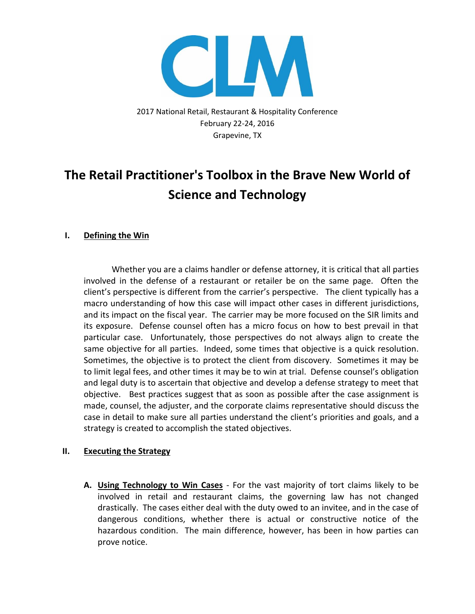

2017 National Retail, Restaurant & Hospitality Conference February 22-24, 2016 Grapevine, TX

## **The Retail Practitioner's Toolbox in the Brave New World of Science and Technology**

## **I. Defining the Win**

Whether you are a claims handler or defense attorney, it is critical that all parties involved in the defense of a restaurant or retailer be on the same page. Often the client's perspective is different from the carrier's perspective. The client typically has a macro understanding of how this case will impact other cases in different jurisdictions, and its impact on the fiscal year. The carrier may be more focused on the SIR limits and its exposure. Defense counsel often has a micro focus on how to best prevail in that particular case. Unfortunately, those perspectives do not always align to create the same objective for all parties. Indeed, some times that objective is a quick resolution. Sometimes, the objective is to protect the client from discovery. Sometimes it may be to limit legal fees, and other times it may be to win at trial. Defense counsel's obligation and legal duty is to ascertain that objective and develop a defense strategy to meet that objective. Best practices suggest that as soon as possible after the case assignment is made, counsel, the adjuster, and the corporate claims representative should discuss the case in detail to make sure all parties understand the client's priorities and goals, and a strategy is created to accomplish the stated objectives.

## **II. Executing the Strategy**

**A. Using Technology to Win Cases** - For the vast majority of tort claims likely to be involved in retail and restaurant claims, the governing law has not changed drastically. The cases either deal with the duty owed to an invitee, and in the case of dangerous conditions, whether there is actual or constructive notice of the hazardous condition. The main difference, however, has been in how parties can prove notice.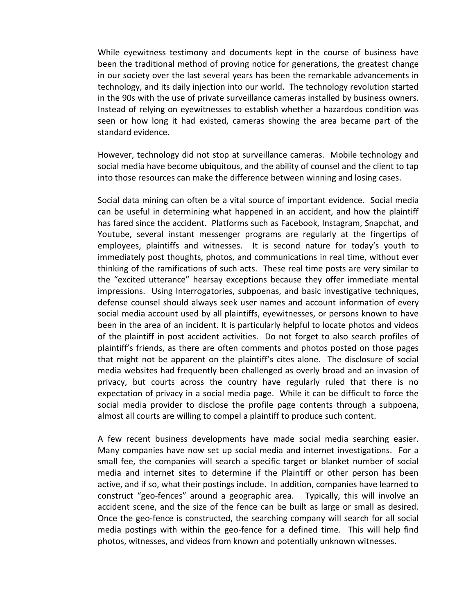While eyewitness testimony and documents kept in the course of business have been the traditional method of proving notice for generations, the greatest change in our society over the last several years has been the remarkable advancements in technology, and its daily injection into our world. The technology revolution started in the 90s with the use of private surveillance cameras installed by business owners. Instead of relying on eyewitnesses to establish whether a hazardous condition was seen or how long it had existed, cameras showing the area became part of the standard evidence.

However, technology did not stop at surveillance cameras. Mobile technology and social media have become ubiquitous, and the ability of counsel and the client to tap into those resources can make the difference between winning and losing cases.

Social data mining can often be a vital source of important evidence. Social media can be useful in determining what happened in an accident, and how the plaintiff has fared since the accident. Platforms such as Facebook, Instagram, Snapchat, and Youtube, several instant messenger programs are regularly at the fingertips of employees, plaintiffs and witnesses. It is second nature for today's youth to immediately post thoughts, photos, and communications in real time, without ever thinking of the ramifications of such acts. These real time posts are very similar to the "excited utterance" hearsay exceptions because they offer immediate mental impressions. Using Interrogatories, subpoenas, and basic investigative techniques, defense counsel should always seek user names and account information of every social media account used by all plaintiffs, eyewitnesses, or persons known to have been in the area of an incident. It is particularly helpful to locate photos and videos of the plaintiff in post accident activities. Do not forget to also search profiles of plaintiff's friends, as there are often comments and photos posted on those pages that might not be apparent on the plaintiff's cites alone. The disclosure of social media websites had frequently been challenged as overly broad and an invasion of privacy, but courts across the country have regularly ruled that there is no expectation of privacy in a social media page. While it can be difficult to force the social media provider to disclose the profile page contents through a subpoena, almost all courts are willing to compel a plaintiff to produce such content.

A few recent business developments have made social media searching easier. Many companies have now set up social media and internet investigations. For a small fee, the companies will search a specific target or blanket number of social media and internet sites to determine if the Plaintiff or other person has been active, and if so, what their postings include. In addition, companies have learned to construct "geo-fences" around a geographic area. Typically, this will involve an accident scene, and the size of the fence can be built as large or small as desired. Once the geo-fence is constructed, the searching company will search for all social media postings with within the geo-fence for a defined time. This will help find photos, witnesses, and videos from known and potentially unknown witnesses.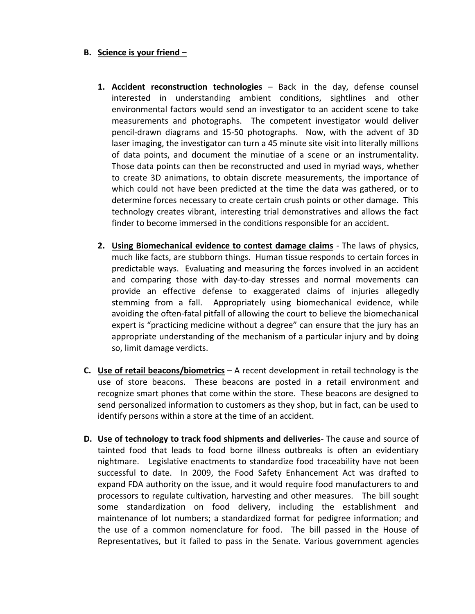## **B. Science is your friend –**

- **1. Accident reconstruction technologies** Back in the day, defense counsel interested in understanding ambient conditions, sightlines and other environmental factors would send an investigator to an accident scene to take measurements and photographs. The competent investigator would deliver pencil-drawn diagrams and 15-50 photographs. Now, with the advent of 3D laser imaging, the investigator can turn a 45 minute site visit into literally millions of data points, and document the minutiae of a scene or an instrumentality. Those data points can then be reconstructed and used in myriad ways, whether to create 3D animations, to obtain discrete measurements, the importance of which could not have been predicted at the time the data was gathered, or to determine forces necessary to create certain crush points or other damage. This technology creates vibrant, interesting trial demonstratives and allows the fact finder to become immersed in the conditions responsible for an accident.
- **2. Using Biomechanical evidence to contest damage claims** The laws of physics, much like facts, are stubborn things. Human tissue responds to certain forces in predictable ways. Evaluating and measuring the forces involved in an accident and comparing those with day-to-day stresses and normal movements can provide an effective defense to exaggerated claims of injuries allegedly stemming from a fall. Appropriately using biomechanical evidence, while avoiding the often-fatal pitfall of allowing the court to believe the biomechanical expert is "practicing medicine without a degree" can ensure that the jury has an appropriate understanding of the mechanism of a particular injury and by doing so, limit damage verdicts.
- **C. Use of retail beacons/biometrics** A recent development in retail technology is the use of store beacons. These beacons are posted in a retail environment and recognize smart phones that come within the store. These beacons are designed to send personalized information to customers as they shop, but in fact, can be used to identify persons within a store at the time of an accident.
- **D. Use of technology to track food shipments and deliveries** The cause and source of tainted food that leads to food borne illness outbreaks is often an evidentiary nightmare. Legislative enactments to standardize food traceability have not been successful to date. In 2009, the Food Safety Enhancement Act was drafted to expand FDA authority on the issue, and it would require food manufacturers to and processors to regulate cultivation, harvesting and other measures. The bill sought some standardization on food delivery, including the establishment and maintenance of lot numbers; a standardized format for pedigree information; and the use of a common nomenclature for food. The bill passed in the House of Representatives, but it failed to pass in the Senate. Various government agencies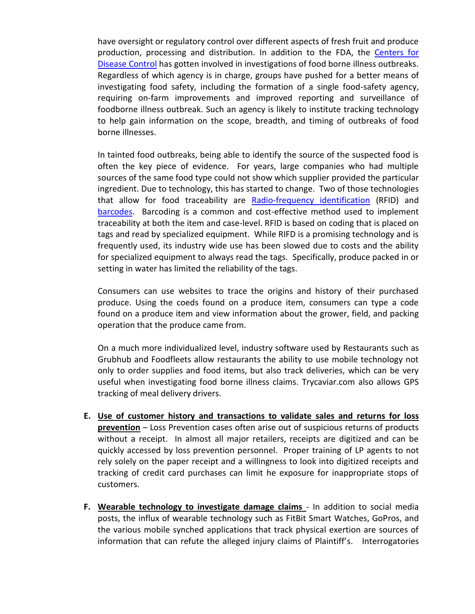have oversight or regulatory control over different aspects of fresh fruit and produce production, processing and distribution. In addition to the FDA, the [Centers for](https://en.wikipedia.org/wiki/Centers_for_Disease_Control_and_Prevention)  [Disease Control](https://en.wikipedia.org/wiki/Centers_for_Disease_Control_and_Prevention) has gotten involved in investigations of food borne illness outbreaks. Regardless of which agency is in charge, groups have pushed for a better means of investigating food safety, including the formation of a single food-safety agency, requiring on-farm improvements and improved reporting and surveillance of foodborne illness outbreak. Such an agency is likely to institute tracking technology to help gain information on the scope, breadth, and timing of outbreaks of food borne illnesses.

In tainted food outbreaks, being able to identify the source of the suspected food is often the key piece of evidence. For years, large companies who had multiple sources of the same food type could not show which supplier provided the particular ingredient. Due to technology, this has started to change. Two of those technologies that allow for food traceability are [Radio-frequency identification](https://en.wikipedia.org/wiki/RFID) (RFID) and [barcodes.](https://en.wikipedia.org/wiki/Barcode) Barcoding is a common and cost-effective method used to implement traceability at both the item and case-level. RFID is based on coding that is placed on tags and read by specialized equipment. While RIFD is a promising technology and is frequently used, its industry wide use has been slowed due to costs and the ability for specialized equipment to always read the tags. Specifically, produce packed in or setting in water has limited the reliability of the tags.

Consumers can use websites to trace the origins and history of their purchased produce. Using the coeds found on a produce item, consumers can type a code found on a produce item and view information about the grower, field, and packing operation that the produce came from.

On a much more individualized level, industry software used by Restaurants such as Grubhub and Foodfleets allow restaurants the ability to use mobile technology not only to order supplies and food items, but also track deliveries, which can be very useful when investigating food borne illness claims. Trycaviar.com also allows GPS tracking of meal delivery drivers.

- **E. Use of customer history and transactions to validate sales and returns for loss prevention** – Loss Prevention cases often arise out of suspicious returns of products without a receipt. In almost all major retailers, receipts are digitized and can be quickly accessed by loss prevention personnel. Proper training of LP agents to not rely solely on the paper receipt and a willingness to look into digitized receipts and tracking of credit card purchases can limit he exposure for inappropriate stops of customers.
- **F. Wearable technology to investigate damage claims** In addition to social media posts, the influx of wearable technology such as FitBit Smart Watches, GoPros, and the various mobile synched applications that track physical exertion are sources of information that can refute the alleged injury claims of Plaintiff's. Interrogatories